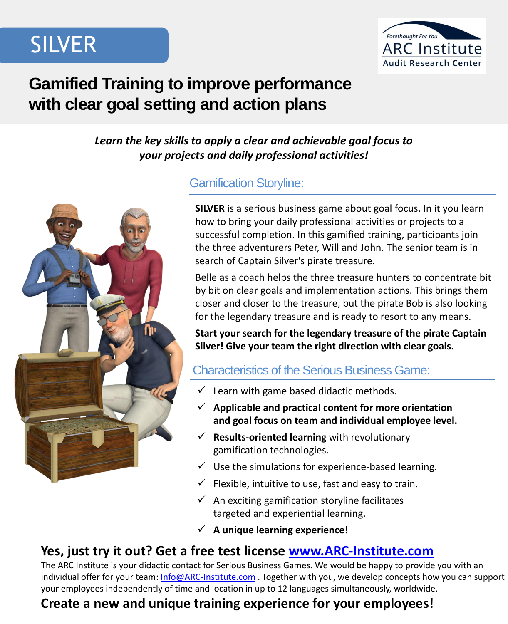

### **Gamified Training to improve performance with clear goal setting and action plans**

#### *Learn the key skills to apply a clear and achievable goal focus to your projects and daily professional activities!*



#### Gamification Storyline:

**SILVER** is a serious business game about goal focus. In it you learn how to bring your daily professional activities or projects to a successful completion. In this gamified training, participants join the three adventurers Peter, Will and John. The senior team is in search of Captain Silver's pirate treasure.

Belle as a coach helps the three treasure hunters to concentrate bit by bit on clear goals and implementation actions. This brings them closer and closer to the treasure, but the pirate Bob is also looking for the legendary treasure and is ready to resort to any means.

**Start your search for the legendary treasure of the pirate Captain Silver! Give your team the right direction with clear goals.**

#### Characteristics of the Serious Business Game:

- $\checkmark$  Learn with game based didactic methods.
- ✓ **Applicable and practical content for more orientation and goal focus on team and individual employee level.**
- ✓ **Results-oriented learning** with revolutionary gamification technologies.
- $\checkmark$  Use the simulations for experience-based learning.
- $\checkmark$  Flexible, intuitive to use, fast and easy to train.
- $\checkmark$  An exciting gamification storyline facilitates targeted and experiential learning.
- ✓ **A unique learning experience!**

#### **Yes, just try it out? Get a free test license [www.ARC-Institute.com](http://www.arc-institute.com/)**

The ARC Institute is your didactic contact for Serious Business Games. We would be happy to provide you with an individual offer for your team: [Info@ARC-Institute.com](mailto:Info@ARC-Institute.com). Together with you, we develop concepts how you can support your employees independently of time and location in up to 12 languages simultaneously, worldwide.

#### **Create a new and unique training experience for your employees!**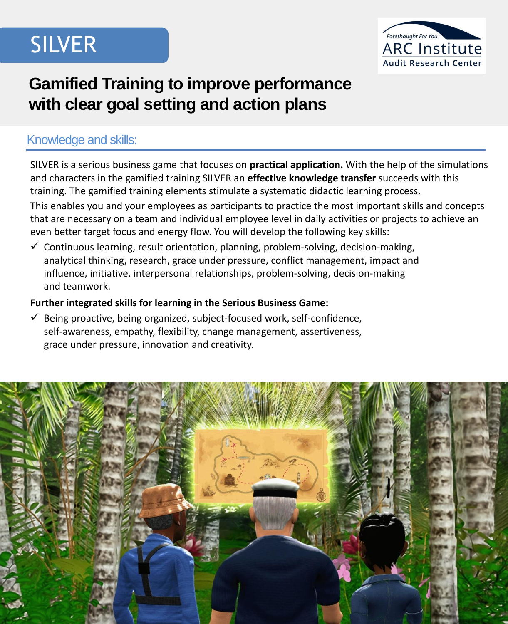

## **Gamified Training to improve performance with clear goal setting and action plans**

#### Knowledge and skills:

SILVER is a serious business game that focuses on **practical application.** With the help of the simulations and characters in the gamified training SILVER an **effective knowledge transfer** succeeds with this training. The gamified training elements stimulate a systematic didactic learning process.

This enables you and your employees as participants to practice the most important skills and concepts that are necessary on a team and individual employee level in daily activities or projects to achieve an even better target focus and energy flow. You will develop the following key skills:

 $\checkmark$  Continuous learning, result orientation, planning, problem-solving, decision-making, analytical thinking, research, grace under pressure, conflict management, impact and influence, initiative, interpersonal relationships, problem-solving, decision-making and teamwork.

#### **Further integrated skills for learning in the Serious Business Game:**

 $\checkmark$  Being proactive, being organized, subject-focused work, self-confidence, self-awareness, empathy, flexibility, change management, assertiveness, grace under pressure, innovation and creativity.

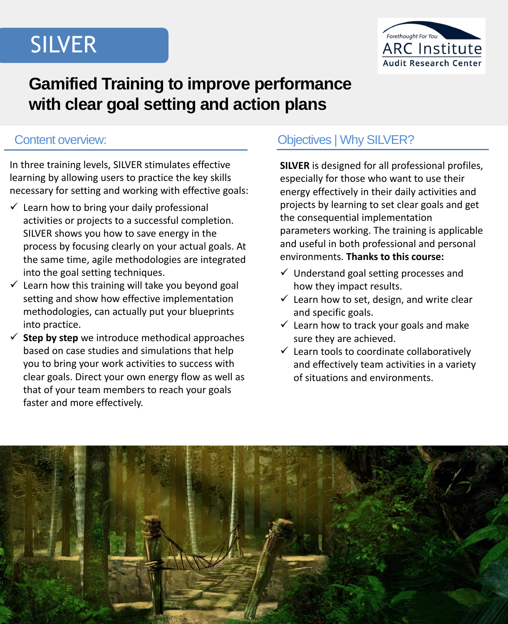

## **Gamified Training to improve performance with clear goal setting and action plans**

In three training levels, SILVER stimulates effective learning by allowing users to practice the key skills necessary for setting and working with effective goals:

- $\checkmark$  Learn how to bring your daily professional activities or projects to a successful completion. SILVER shows you how to save energy in the process by focusing clearly on your actual goals. At the same time, agile methodologies are integrated into the goal setting techniques.
- $\checkmark$  Learn how this training will take you beyond goal setting and show how effective implementation methodologies, can actually put your blueprints into practice.
- $\checkmark$  **Step by step** we introduce methodical approaches based on case studies and simulations that help you to bring your work activities to success with clear goals. Direct your own energy flow as well as that of your team members to reach your goals faster and more effectively.

### Content overview: Content overview: Content overview:

**SILVER** is designed for all professional profiles, especially for those who want to use their energy effectively in their daily activities and projects by learning to set clear goals and get the consequential implementation parameters working. The training is applicable and useful in both professional and personal environments. **Thanks to this course:**

- $\checkmark$  Understand goal setting processes and how they impact results.
- $\checkmark$  Learn how to set, design, and write clear and specific goals.
- $\checkmark$  Learn how to track your goals and make sure they are achieved.
- $\checkmark$  Learn tools to coordinate collaboratively and effectively team activities in a variety of situations and environments.